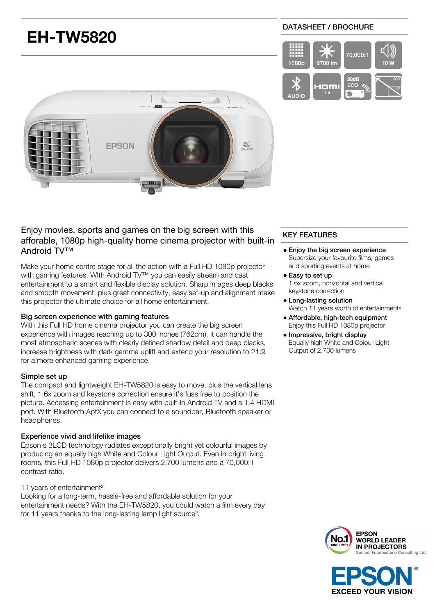# **EH-TW5820**

### DATASHEET / BROCHURE





# Enjoy movies, sports and games on the big screen with this afforable, 1080p high-quality home cinema projector with built-in Android TV™

Make your home centre stage for all the action with a Full HD 1080p projector with gaming features. WIth Android TV™ you can easily stream and cast entertainment to a smart and flexible display solution. Sharp images deep blacks and smooth movement, plus great connectivity, easy set-up and alignment make this projector the ultimate choice for all home entertainment.

### Big screen experience with gaming features

With this Full HD home cinema projector you can create the big screen experience with images reaching up to 300 inches (762cm). It can handle the most atmospheric scenes with clearly defined shadow detail and deep blacks, increase brightness with dark gamma uplift and extend your resolution to 21:9 for a more enhanced gaming experience.

### Simple set up

The compact and lightweight EH-TW5820 is easy to move, plus the vertical lens shift, 1.6x zoom and keystone correction ensure it's fuss free to position the picture. Accessing entertainment is easy with built-in Android TV and a 1.4 HDMI port. With Bluetooth AptX you can connect to a soundbar, Bluetooth speaker or headphones.

### Experience vivid and lifelike images

Epson's 3LCD technology radiates exceptionally bright yet colourful images by producing an equally high White and Colour Light Output. Even in bright living rooms, this Full HD 1080p projector delivers 2,700 lumens and a 70,000:1 contrast ratio.

### 11 years of entertainment²

Looking for a long-term, hassle-free and affordable solution for your entertainment needs? With the EH-TW5820, you could watch a film every day for 11 years thanks to the long-lasting lamp light source².

# KEY FEATURES

- Enjoy the big screen experience Supersize your favourite films, games and sporting events at home
- Easy to set up 1.6x zoom, horizontal and vertical keystone correction
- Long-lasting solution Watch 11 years worth of entertainment<sup>2</sup>
- Affordable, high-tech equipment Enjoy this Full HD 1080p projector
- Impressive, bright display Equally high White and Colour Light Output of 2,700 lumens



**EXCEED YOUR VISION**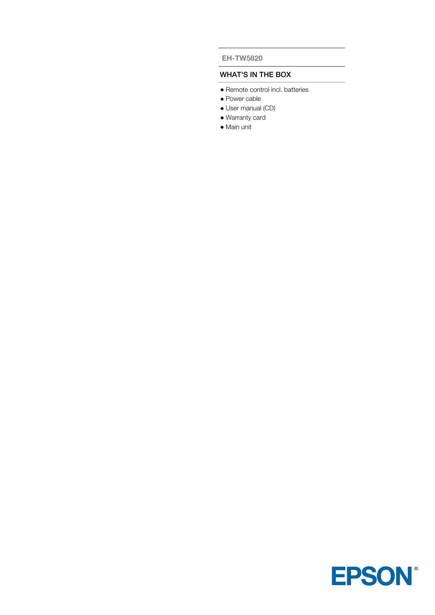#### **EH-TW5820**

## WHAT'S IN THE BOX

- Remote control incl. batteries
- Power cable
- User manual (CD)
- Warranty card
- Main unit